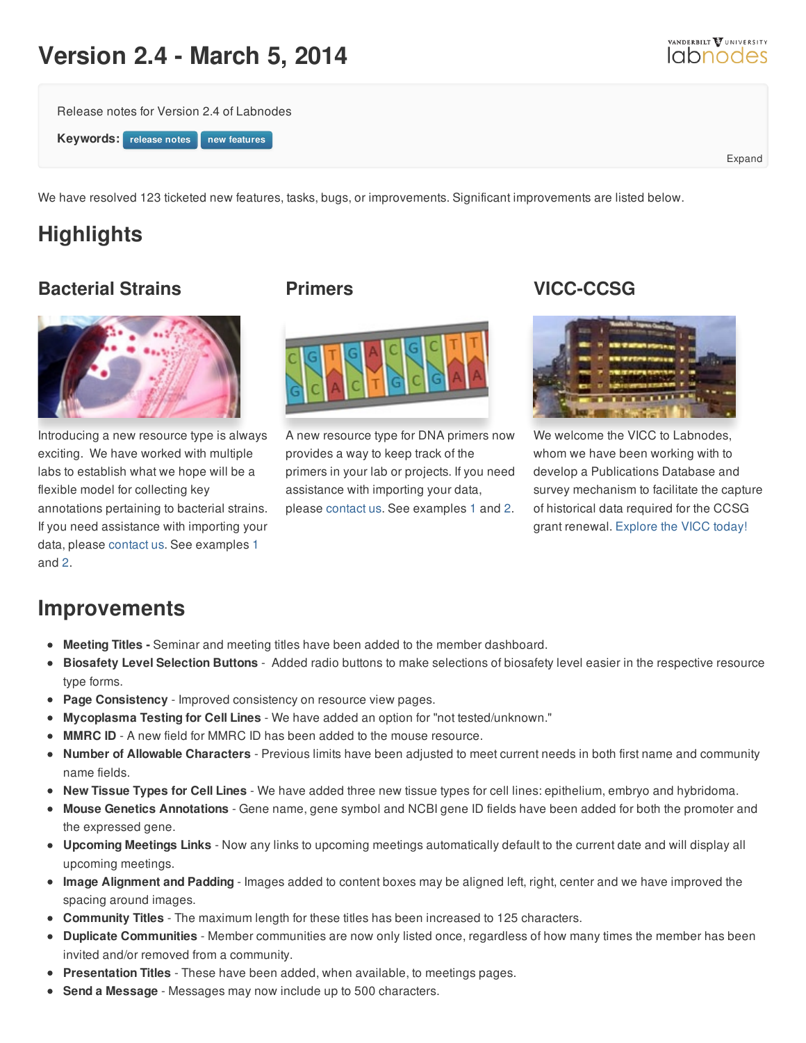# **Version 2.4 - March 5, 2014**

Release notes for Version 2.4 of Labnodes

**Keywords: release** notes **notes** 

We have resolved 123 ticketed new features, tasks, bugs, or improvements. Significant improvements are listed below.

# **Highlights**

### **Bacterial Strains**



Introducing a new resource type is always exciting. We have worked with multiple labs to establish what we hope will be a flexible model for collecting key annotations pertaining to bacterial strains. If you need assistance with importing your data, please [contact](/help) us. See examples [1](/resource/view/id/8919) and [2](/resource/view/id/8921).

#### **Primers**



A new resource type for DNA primers now provides a way to keep track of the primers in your lab or projects. If you need assistance with importing your data, please [contact](/help) us. See examples [1](/resource/view/id/8915) and [2](/resource/view/id/8917).

### **VICC-CCSG**



We welcome the VICC to Labnodes, whom we have been working with to develop a Publications Database and survey mechanism to facilitate the capture of historical data required for the CCSG grant renewal. [Explore](http://labnodes.vanderbilt.edu/community/profile/id/818) the VICC today!

## **Improvements**

- **Meeting Titles -** Seminar and meeting titles have been added to the member dashboard.
- **Biosafety Level Selection Buttons** Added radio buttons to make selections of biosafety level easier in the respective resource type forms.
- **Page Consistency** Improved consistency on resource view pages.
- **Mycoplasma Testing for Cell Lines** We have added an option for "not tested/unknown."
- **MMRC ID** A new field for MMRC ID has been added to the mouse resource.
- **Number of Allowable Characters** Previous limits have been adjusted to meet current needs in both first name and community name fields.
- **New Tissue Types for Cell Lines** We have added three new tissue types for cell lines: epithelium, embryo and hybridoma.
- **Mouse Genetics Annotations** Gene name, gene symbol and NCBI gene ID fields have been added for both the promoter and the expressed gene.
- **Upcoming Meetings Links** Now any links to upcoming meetings automatically default to the current date and will display all upcoming meetings.
- **Image Alignment and Padding** Images added to content boxes may be aligned left, right, center and we have improved the spacing around images.
- **Community Titles** The maximum length for these titles has been increased to 125 characters.
- **Duplicate Communities** Member communities are now only listed once, regardless of how many times the member has been invited and/or removed from a community.
- **Presentation Titles** These have been added, when available, to meetings pages.
- **Send a Message** Messages may now include up to 500 characters.